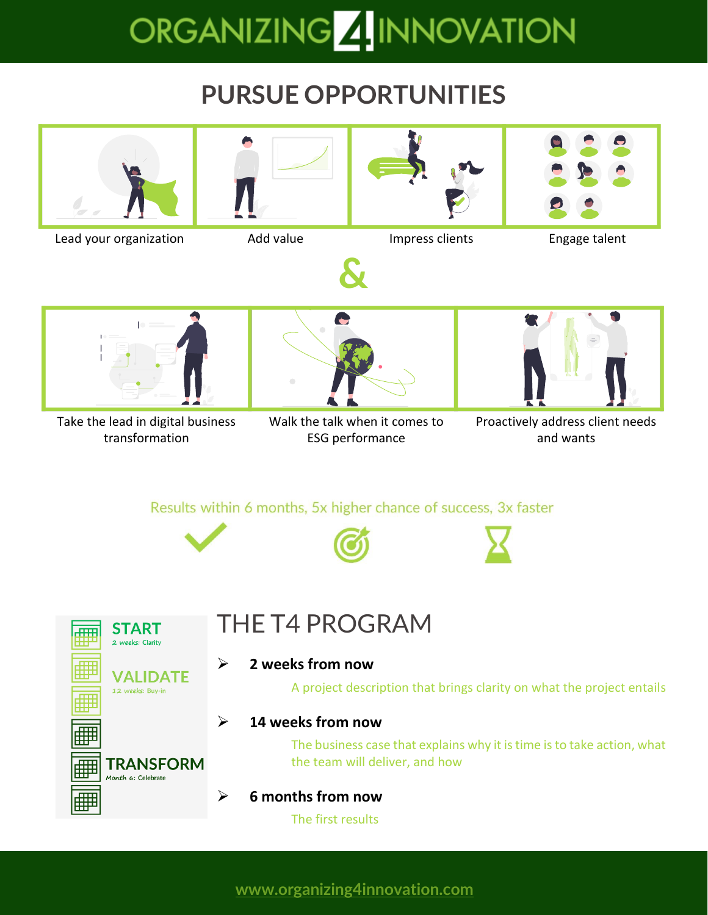## ORGANIZING**ZI**INNOVATION

## **PURSUE OPPORTUNITIES**

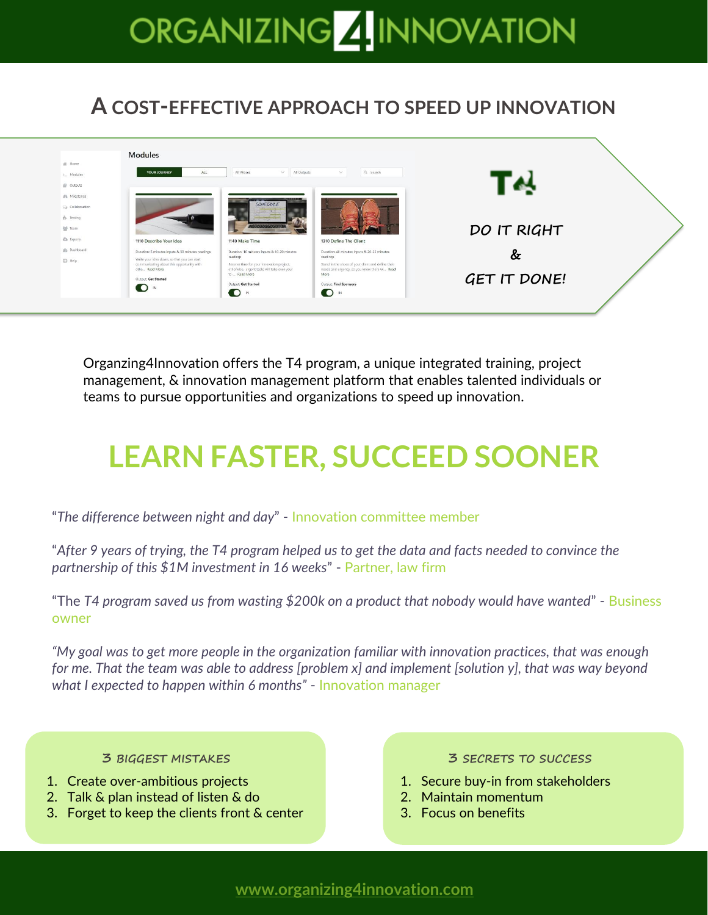# ORGANIZING 4 INNOVATION

#### **A COST-EFFECTIVE APPROACH TO SPEED UP INNOVATION**



Organzing4Innovation offers the T4 program, a unique integrated training, project management, & innovation management platform that enables talented individuals or teams to pursue opportunities and organizations to speed up innovation.

## **LEARN FASTER, SUCCEED SOONER**

"*The difference between night and day*" - Innovation committee member

"*After 9 years of trying, the T4 program helped us to get the data and facts needed to convince the partnership of this \$1M investment in 16 weeks*" - Partner, law firm

"The *T4 program saved us from wasting \$200k on a product that nobody would have wanted*" - Business owner

*"My goal was to get more people in the organization familiar with innovation practices, that was enough for me. That the team was able to address [problem x] and implement [solution y], that was way beyond what I expected to happen within 6 months"* - Innovation manager

- 
- 2. Talk & plan instead of listen & do 2. Maintain momentum
- 3. Forget to keep the clients front & center **3.** Focus on benefits

#### **3 BIGGEST MISTAKES 3 SECRETS TO SUCCESS**

- 1. Create over-ambitious projects 1. Secure buy-in from stakeholders
	-
	-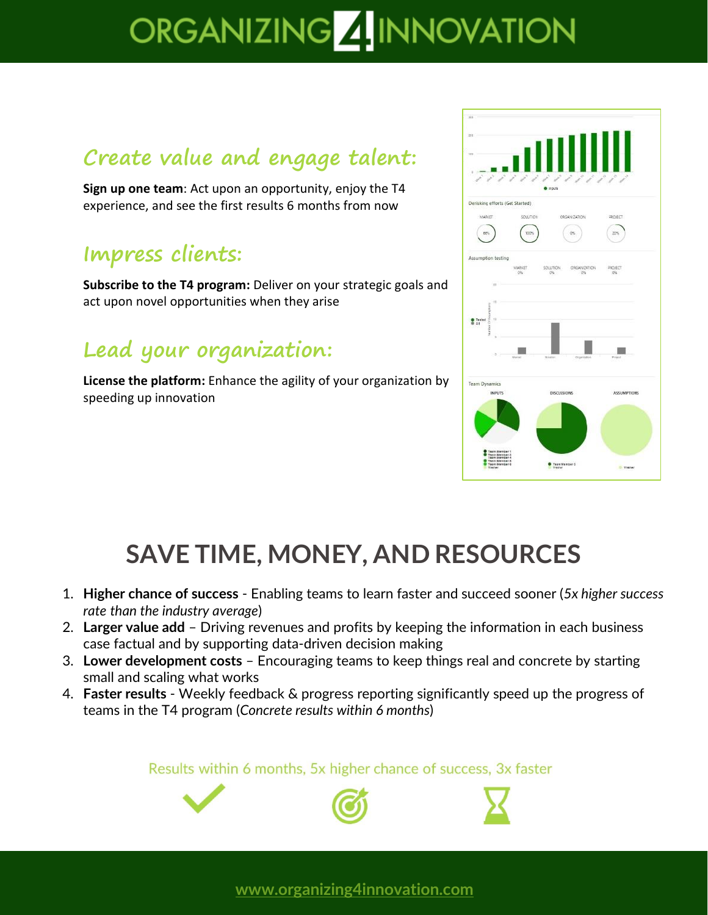## ORGANIZING 4 INNOVATION

#### **Create value and engage talent:**

**Sign up one team**: Act upon an opportunity, enjoy the T4 experience, and see the first results 6 months from now

#### **Impress clients:**

**Subscribe to the T4 program:** Deliver on your strategic goals and act upon novel opportunities when they arise

#### **Lead your organization:**

**License the platform:** Enhance the agility of your organization by speeding up innovation



## **SAVE TIME, MONEY, AND RESOURCES**

- 1. **Higher chance of success** Enabling teams to learn faster and succeed sooner (*5x higher success rate than the industry average*)
- 2. **Larger value add** Driving revenues and profits by keeping the information in each business case factual and by supporting data-driven decision making
- 3. **Lower development costs** Encouraging teams to keep things real and concrete by starting small and scaling what works
- 4. **Faster results** Weekly feedback & progress reporting significantly speed up the progress of teams in the T4 program (*Concrete results within 6 months*)

Results within 6 months, 5x higher chance of success, 3x faster